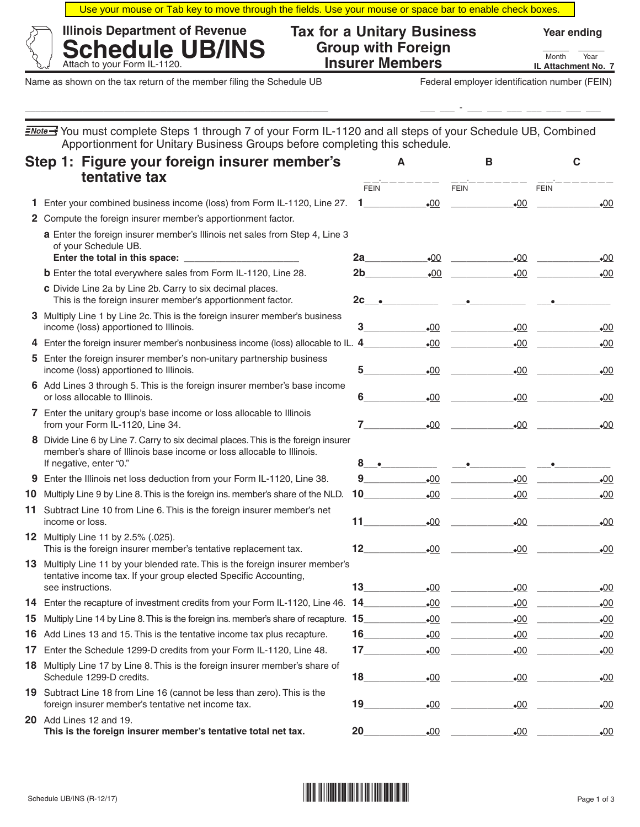Use your mouse or Tab key to move through the fields. Use your mouse or space bar to enable check boxes.

\_\_\_\_\_\_\_\_\_\_\_\_\_\_\_\_\_\_\_\_\_\_\_\_\_\_\_\_\_\_\_\_\_\_\_\_\_\_\_\_\_\_\_\_\_\_\_\_\_\_\_\_\_\_\_\_\_\_ \_\_\_ \_\_\_ - \_\_\_ \_\_\_ \_\_\_ \_\_\_ \_\_\_ \_\_\_ \_\_\_

| <b>Illinois Department of Revenue</b> | <b>Tax for a Unitary Business</b> | <b>Year ending</b>      |
|---------------------------------------|-----------------------------------|-------------------------|
| <b>Schedule UB/INS</b>                | <b>Group with Foreign</b>         | Year<br>Month           |
| Attach to your Form IL-1120.          | <b>Insurer Members</b>            | <b>IL Attachment No</b> |

Name as shown on the tax return of the member filing the Schedule UB Federal employer identification number (FEIN)

Attach to your Form IL-1120. **Depity of Contract COMPTITY CONSUMERTY ATT ATT ATTACHMENT MONth Year IL Attachment No. 7**

|    | <i><u>≡Note→</u></i> You must complete Steps 1 through 7 of your Form IL-1120 and all steps of your Schedule UB, Combined<br>Apportionment for Unitary Business Groups before completing this schedule. |                                                                                                                                                                                                                              |                                                                                                                                                                                                                                        |                       |                              |
|----|---------------------------------------------------------------------------------------------------------------------------------------------------------------------------------------------------------|------------------------------------------------------------------------------------------------------------------------------------------------------------------------------------------------------------------------------|----------------------------------------------------------------------------------------------------------------------------------------------------------------------------------------------------------------------------------------|-----------------------|------------------------------|
|    | Step 1: Figure your foreign insurer member's                                                                                                                                                            |                                                                                                                                                                                                                              | A                                                                                                                                                                                                                                      | в                     | С                            |
|    | tentative tax                                                                                                                                                                                           | <b>FEIN</b>                                                                                                                                                                                                                  |                                                                                                                                                                                                                                        | <b>FEIN</b>           | <b>FEIN</b>                  |
|    | 1 Enter your combined business income (loss) from Form IL-1120, Line 27. 1__________                                                                                                                    |                                                                                                                                                                                                                              | $\bullet$ 00                                                                                                                                                                                                                           | $\bullet$ 00          | $\bullet$ 00                 |
|    | 2 Compute the foreign insurer member's apportionment factor.                                                                                                                                            |                                                                                                                                                                                                                              |                                                                                                                                                                                                                                        |                       |                              |
|    | a Enter the foreign insurer member's Illinois net sales from Step 4, Line 3<br>of your Schedule UB.<br>Enter the total in this space:                                                                   | 2a - 1                                                                                                                                                                                                                       | $-00$                                                                                                                                                                                                                                  | $\bullet$ 00          | $_{\bullet}00$               |
|    | <b>b</b> Enter the total everywhere sales from Form IL-1120, Line 28.                                                                                                                                   | 2b                                                                                                                                                                                                                           |                                                                                                                                                                                                                                        | $\bullet$ 00          | $\bullet$ 00                 |
|    | c Divide Line 2a by Line 2b. Carry to six decimal places.<br>This is the foreign insurer member's apportionment factor.                                                                                 |                                                                                                                                                                                                                              | $2c \qquad \qquad \bullet$                                                                                                                                                                                                             |                       |                              |
|    | 3 Multiply Line 1 by Line 2c. This is the foreign insurer member's business<br>income (loss) apportioned to Illinois.                                                                                   | 3                                                                                                                                                                                                                            | $-00$                                                                                                                                                                                                                                  | $-00$                 | $-00$                        |
|    | 4 Enter the foreign insurer member's nonbusiness income (loss) allocable to IL. 4_                                                                                                                      |                                                                                                                                                                                                                              | $-00$                                                                                                                                                                                                                                  | $-00$                 | $\cdot 00$                   |
|    | 5 Enter the foreign insurer member's non-unitary partnership business<br>income (loss) apportioned to Illinois.                                                                                         | 5                                                                                                                                                                                                                            | $-00$                                                                                                                                                                                                                                  | $-00$                 | $_{\bullet}00$               |
|    | 6 Add Lines 3 through 5. This is the foreign insurer member's base income<br>or loss allocable to Illinois.                                                                                             | 6                                                                                                                                                                                                                            | $\bullet$ 00                                                                                                                                                                                                                           | $\bullet$ 00          | .00                          |
|    | 7 Enter the unitary group's base income or loss allocable to Illinois<br>from your Form IL-1120, Line 34.                                                                                               |                                                                                                                                                                                                                              | $7$ and $7$ and $7$ and $7$ and $7$ and $7$ and $7$ and $7$ and $7$ and $7$ and $7$ and $7$ and $7$ and $7$ and $7$ and $7$ and $7$ and $7$ and $7$ and $7$ and $7$ and $7$ and $7$ and $7$ and $7$ and $7$ and $7$ and $7$ a<br>$-00$ | $\bullet$ 00          | $-00$                        |
|    | 8 Divide Line 6 by Line 7. Carry to six decimal places. This is the foreign insurer<br>member's share of Illinois base income or loss allocable to Illinois.<br>If negative, enter "0."                 |                                                                                                                                                                                                                              | $8 \rightarrow$                                                                                                                                                                                                                        |                       |                              |
| 9  | Enter the Illinois net loss deduction from your Form IL-1120, Line 38.                                                                                                                                  | 9                                                                                                                                                                                                                            | $-00$                                                                                                                                                                                                                                  | .00                   | .00                          |
| 10 | Multiply Line 9 by Line 8. This is the foreign ins. member's share of the NLD.                                                                                                                          | 10                                                                                                                                                                                                                           | $-00$                                                                                                                                                                                                                                  | $-00$                 | .00                          |
|    | 11 Subtract Line 10 from Line 6. This is the foreign insurer member's net<br>income or loss.                                                                                                            | $11 - 1$                                                                                                                                                                                                                     | $-00$                                                                                                                                                                                                                                  | $\bullet$ 00          | $\cdot 00$                   |
|    | 12 Multiply Line 11 by 2.5% (.025).<br>This is the foreign insurer member's tentative replacement tax.                                                                                                  | 12                                                                                                                                                                                                                           |                                                                                                                                                                                                                                        | $\bullet$ 00<br>$-00$ | .00                          |
|    | 13 Multiply Line 11 by your blended rate. This is the foreign insurer member's<br>tentative income tax. If your group elected Specific Accounting,<br>see instructions.                                 | 13                                                                                                                                                                                                                           | $-00$                                                                                                                                                                                                                                  |                       | $\bullet$ 00<br>$\bullet$ 00 |
|    | 14 Enter the recapture of investment credits from your Form IL-1120, Line 46. 14                                                                                                                        |                                                                                                                                                                                                                              | $-00$                                                                                                                                                                                                                                  | $-00$                 | $\cdot 00$                   |
|    | 15 Multiply Line 14 by Line 8. This is the foreign ins. member's share of recapture. 15                                                                                                                 |                                                                                                                                                                                                                              | $\cdot 00$                                                                                                                                                                                                                             | $\underline{00}$      | $\cdot 00$                   |
|    | 16 Add Lines 13 and 15. This is the tentative income tax plus recapture.                                                                                                                                | 16                                                                                                                                                                                                                           | $\cdot 00$                                                                                                                                                                                                                             | $\underline{00}$      | $\cdot 00$                   |
| 17 | Enter the Schedule 1299-D credits from your Form IL-1120, Line 48.                                                                                                                                      | $17$ and $17$ and $17$ and $17$ and $17$ and $17$ and $17$ and $17$ and $17$ and $17$ and $17$ and $17$ and $17$ and $17$ and $17$ and $17$ and $17$ and $17$ and $17$ and $17$ and $17$ and $17$ and $17$ and $17$ and $17$ | $\cdot 00$                                                                                                                                                                                                                             | $\cdot 00$            | $\cdot 00$                   |
|    | 18 Multiply Line 17 by Line 8. This is the foreign insurer member's share of<br>Schedule 1299-D credits.                                                                                                | 18                                                                                                                                                                                                                           | $-00$                                                                                                                                                                                                                                  | $\cdot 00$            | $\cdot 00$                   |
|    | 19 Subtract Line 18 from Line 16 (cannot be less than zero). This is the<br>foreign insurer member's tentative net income tax.                                                                          | 19                                                                                                                                                                                                                           | $\underline{00}$                                                                                                                                                                                                                       | $\underline{00}$      | $\cdot 00$                   |
|    | <b>20</b> Add Lines 12 and 19.<br>This is the foreign insurer member's tentative total net tax.                                                                                                         | 20                                                                                                                                                                                                                           | $\underline{00}$                                                                                                                                                                                                                       | $\underline{00}$      | $\cdot 00$                   |

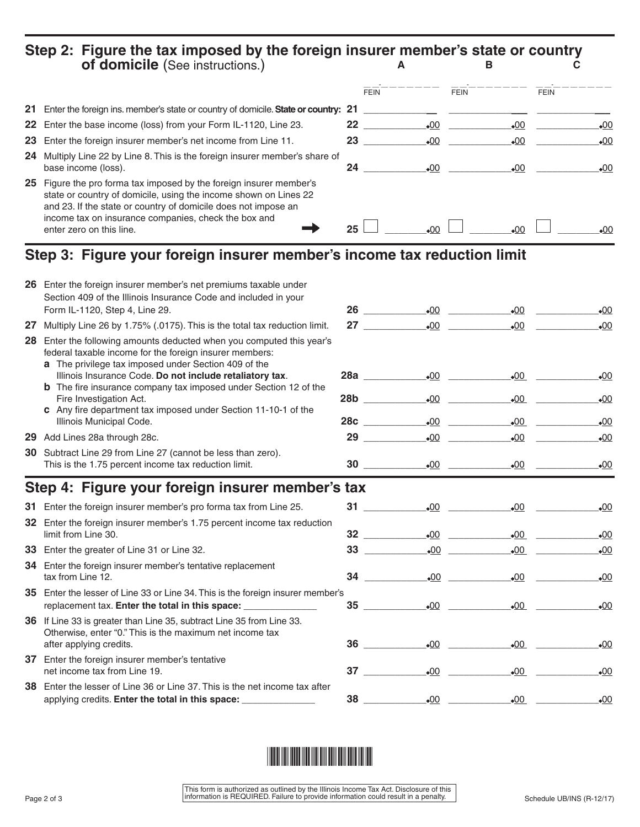## **Step 2: Figure the tax imposed by the foreign insurer member's state or country of domicile** (See instructions.) **A B C**

|                                                                                                                                                                                                                                                                                               | <b>FEIN</b>     |              | <b>FEIN</b>  | <b>FEIN</b>  |
|-----------------------------------------------------------------------------------------------------------------------------------------------------------------------------------------------------------------------------------------------------------------------------------------------|-----------------|--------------|--------------|--------------|
| 21 Enter the foreign ins. member's state or country of domicile. State or country: 21                                                                                                                                                                                                         |                 |              |              |              |
| 22 Enter the base income (loss) from your Form IL-1120, Line 23.                                                                                                                                                                                                                              | 22              | $\bullet$ 00 | $\bullet$ 00 | $-00$        |
| 23 Enter the foreign insurer member's net income from Line 11.                                                                                                                                                                                                                                | 23              | $\bullet$ 00 | $\bullet$ 00 | •00          |
| 24 Multiply Line 22 by Line 8. This is the foreign insurer member's share of<br>base income (loss).                                                                                                                                                                                           | 24              | $-00$        | $-00$        | $-00$        |
| 25 Figure the pro forma tax imposed by the foreign insurer member's<br>state or country of domicile, using the income shown on Lines 22<br>and 23. If the state or country of domicile does not impose an<br>income tax on insurance companies, check the box and<br>enter zero on this line. | 25 <sub>1</sub> | $-00$        | 00ء          | $\bullet$ 00 |

## **Step 3: Figure your foreign insurer member's income tax reduction limit**

|    | Section 409 of the Illinois Insurance Code and included in your<br>Form IL-1120, Step 4, Line 29.                                                                                        |                                                  | $\bullet$ 00 | $-00$        | $\bullet$ 00 |
|----|------------------------------------------------------------------------------------------------------------------------------------------------------------------------------------------|--------------------------------------------------|--------------|--------------|--------------|
| 27 | Multiply Line 26 by 1.75% (.0175). This is the total tax reduction limit.                                                                                                                | 27 $\qquad$                                      |              | $\bullet$ 00 | $\bullet$ 00 |
|    | 28 Enter the following amounts deducted when you computed this year's<br>federal taxable income for the foreign insurer members:<br>a The privilege tax imposed under Section 409 of the |                                                  |              |              |              |
|    | Illinois Insurance Code. Do not include retaliatory tax.                                                                                                                                 | 28a                                              | $\bullet$ 00 | $\bullet$ 00 | $\bullet$ 00 |
|    | <b>b</b> The fire insurance company tax imposed under Section 12 of the<br>Fire Investigation Act.<br>c Any fire department tax imposed under Section 11-10-1 of the                     | 28b                                              | $\bullet$ 00 | $\bullet$ 00 | $\bullet$ 00 |
|    | Illinois Municipal Code.                                                                                                                                                                 | 28c                                              | $\bullet$ 00 | $\bullet$ 00 | $\bullet$ 00 |
|    | 29 Add Lines 28a through 28c.                                                                                                                                                            | $29 \quad \overline{\quad}$                      | $\bullet$ 00 | .00          | $\bullet$ 00 |
|    | 30 Subtract Line 29 from Line 27 (cannot be less than zero).<br>This is the 1.75 percent income tax reduction limit.                                                                     | $30$ and $\sim$                                  | $\bullet$ 00 | $\bullet$ 00 | $\bullet$ 00 |
|    | Step 4: Figure your foreign insurer member's tax                                                                                                                                         |                                                  |              |              |              |
|    | 31 Enter the foreign insurer member's pro forma tax from Line 25.                                                                                                                        |                                                  | $\bullet$ 00 | $-00$        | $-00$        |
|    | 32 Enter the foreign insurer member's 1.75 percent income tax reduction<br>limit from Line 30.                                                                                           | $\begin{array}{c c} 32 & \text{---} \end{array}$ |              | $\bullet$ 00 | $\bullet$ 00 |
|    | 33 Enter the greater of Line 31 or Line 32.                                                                                                                                              | $\begin{array}{c c} 33 & \text{---} \end{array}$ |              | $\bullet$ 00 | .00          |
|    | 34 Enter the foreign insurer member's tentative replacement<br>tax from Line 12.                                                                                                         | $34$ and $\sim$                                  | $\bullet$ 00 | $\bullet$ 00 | $\bullet$ 00 |
|    | 35 Enter the lesser of Line 33 or Line 34. This is the foreign insurer member's<br>replacement tax. Enter the total in this space: _________________________________                     | 35                                               | $\bullet$ 00 | $\bullet$ 00 | $\bullet$ 00 |
|    | 36 If Line 33 is greater than Line 35, subtract Line 35 from Line 33.<br>Otherwise, enter "0." This is the maximum net income tax<br>after applying credits.                             | 36                                               | $\bullet$ 00 | $\bullet$ 00 | $\bullet$ 00 |
|    | 37 Enter the foreign insurer member's tentative<br>net income tax from Line 19.                                                                                                          | 37                                               | $\bullet$ 00 | $-00$        | $\bullet$ 00 |
|    | 38 Enter the lesser of Line 36 or Line 37. This is the net income tax after<br>applying credits. Enter the total in this space: ________________                                         | 38                                               | $-00$        | $\bullet$ 00 | $\bullet$ 00 |